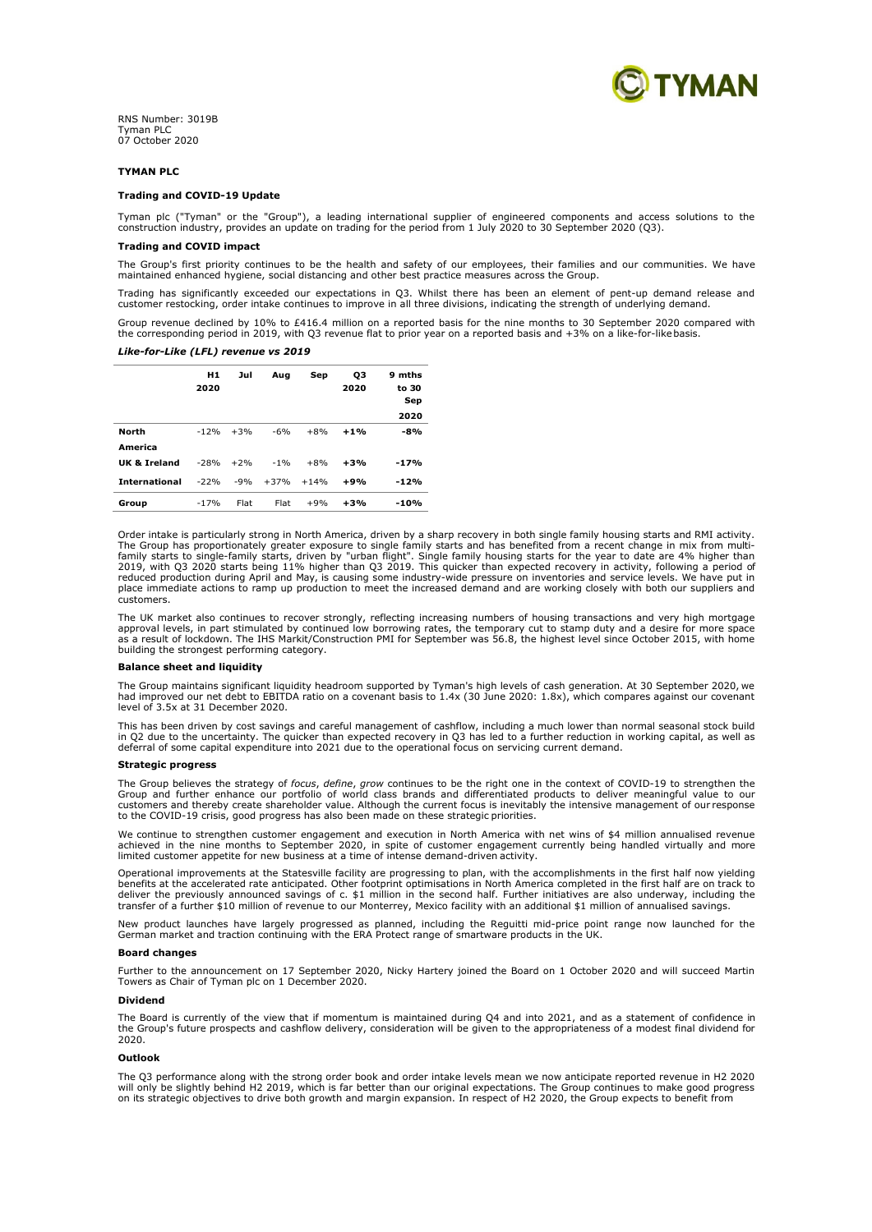

RNS Number: 3019B Tyman PLC 07 October 2020

## **TYMAN PLC**

### **Trading and COVID-19 Update**

Tyman plc ("Tyman" or the "Group"), a leading international supplier of engineered components and access solutions to the construction industry, provides an update on trading for the period from 1 July 2020 to 30 September 2020 (Q3).

# **Trading and COVID impact**

The Group's first priority continues to be the health and safety of our employees, their families and our communities. We have<br>maintained enhanced hygiene, social distancing and other best practice measures across the Grou

Trading has significantly exceeded our expectations in Q3. Whilst there has been an element of pent-up demand release and<br>customer restocking, order intake continues to improve in all three divisions, indicating the streng

Group revenue declined by 10% to £416.4 million on a reported basis for the nine months to 30 September 2020 compared with<br>the corresponding period in 2019, with Q3 revenue flat to prior year on a reported basis and +3% on

## *Like-for-Like (LFL) revenue vs 2019*

|                      | H1<br>2020 | Jul   | Aug    | Sep    | OЗ<br>2020 | 9 mths<br>to 30<br>Sep<br>2020 |
|----------------------|------------|-------|--------|--------|------------|--------------------------------|
| <b>North</b>         | $-12%$     | $+3%$ | $-6%$  | $+8%$  | $+1%$      | $-8%$                          |
| America              |            |       |        |        |            |                                |
| UK & Ireland         | $-28%$     | $+2%$ | $-1%$  | $+8%$  | $+3%$      | $-17%$                         |
| <b>International</b> | $-22%$     | $-9%$ | $+37%$ | $+14%$ | $+9%$      | $-12%$                         |
| Group                | $-17%$     | Flat  | Flat   | $+9%$  | $+3%$      | -10%                           |

Order intake is particularly strong in North America, driven by a sharp recovery in both single family housing starts and RMI activity. The Group has proportionately greater exposure to single family starts and has benefited from a recent change in mix from multi-<br>family starts to single-family starts, driven by "urban flight". Single family housing starts place immediate actions to ramp up production to meet the increased demand and are working closely with both our suppliers and customers.

The UK market also continues to recover strongly, reflecting increasing numbers of housing transactions and very high mortgage<br>approval levels, in part stimulated by continued low borrowing rates, the temporary cut to stam building the strongest performing category.

### **Balance sheet and liquidity**

The Group maintains significant liquidity headroom supported by Tyman's high levels of cash generation. At 30 September 2020, we<br>had improved our net debt to EBITDA ratio on a covenant basis to 1.4x (30 June 2020: 1.8x), w level of 3.5x at 31 December 2020.

This has been driven by cost savings and careful management of cashflow, including a much lower than normal seasonal stock build in Q2 due to the uncertainty. The quicker than expected recovery in Q3 has led to a further reduction in working capital, as well as<br>deferral of some capital expenditure into 2021 due to the operational focus on servicing

#### **Strategic progress**

The Group believes the strategy of *focus, define, grow* continues to be the right one in the context of COVID-19 to strengthen the<br>Group and further enhance our portfolio of world class brands and differentiated products to the COVID-19 crisis, good progress has also been made on these strategic priorities.

We continue to strengthen customer engagement and execution in North America with net wins of \$4 million annualised revenue<br>achieved in the nine months to September 2020, in spite of customer engagement currently being han

Operational improvements at the Statesville facility are progressing to plan, with the accomplishments in the first half now yielding<br>benefits at the accelerated rate anticipated. Other footprint optimisations in North Ame deliver the previously announced savings of c. \$1 million in the second half. Further initiatives are also underway, including the transfer of a further \$10 million of revenue to our Monterrey, Mexico facility with an additional \$1 million of annualised savings.

New product launches have largely progressed as planned, including the Reguitti mid-price point range now launched for the German market and traction continuing with the ERA Protect range of smartware products in the UK.

## **Board changes**

Further to the announcement on 17 September 2020, Nicky Hartery joined the Board on 1 October 2020 and will succeed Martin Towers as Chair of Tyman plc on 1 December 2020.

## **Dividend**

The Board is currently of the view that if momentum is maintained during Q4 and into 2021, and as a statement of confidence in the Group's future prospects and cashflow delivery, consideration will be given to the appropriateness of a modest final dividend for 2020.

## **Outlook**

The Q3 performance along with the strong order book and order intake levels mean we now anticipate reported revenue in H2 2020<br>will only be slightly behind H2 2019, which is far better than our original expectations. The G